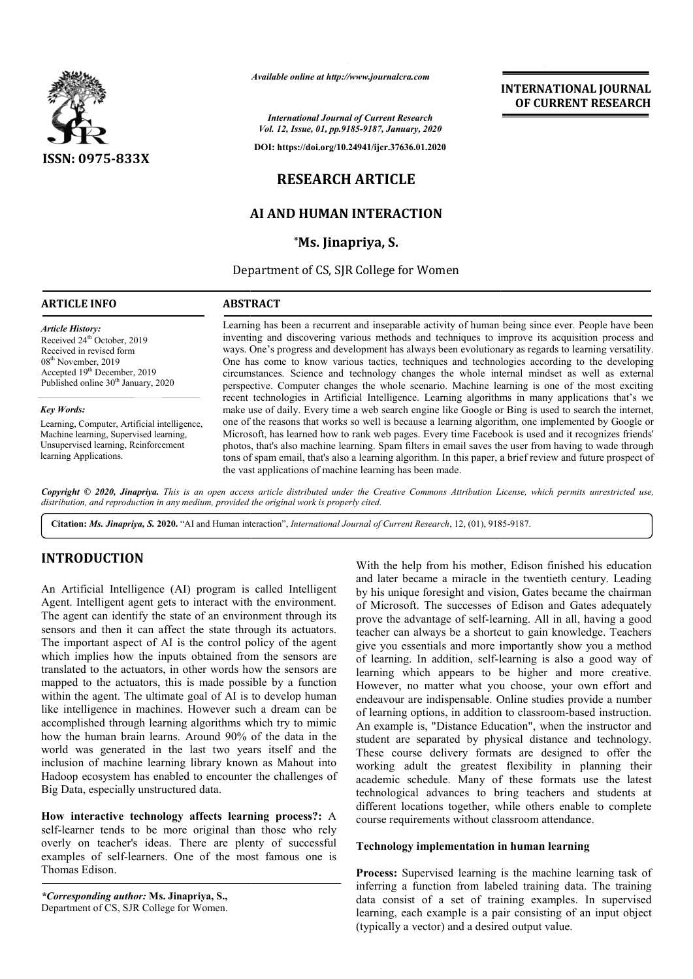

*Available online at http://www.journalcra.com*

*International Journal of Current Research Vol. 12, Issue, 01, pp.9185-9187, January, 2020*

**DOI: https://doi.org/10.24941/ijcr.37636.01.2020**

# **RESEARCH ARTICLE**

# **AI AND HUMAN INTERAC INTERACTION**

**\*Ms. Jinapriya, S.**

Department of CS, SJR College for Women

### **ARTICLE INFO ABSTRACT**

Received 24<sup>th</sup> October, 2019 Received in revised form 08th November, 2019 Accepted 19<sup>th</sup> December, 2019 Published online 30<sup>th</sup> January, 2020

Learning, Computer, Artificial intelligence, Machine learning, Supervised learning, Unsupervised learning, Reinforcement

*Article History:*

*Key Words:*

learning Applications.

Learning has been a recurrent and inseparable activity of human being since ever. People have been inventing and discovering various methods and techniques to improve its acquisition process and ways. One's progress and development has always been evolutionary as regards to learning versatility. One has come to know various tactics, techniques and technologies according to the developing circumstances. Science and technology changes the whole internal mindset as well a perspective. Computer changes the whole scenario. Machine learning is one of the most exciting recent technologies in Artificial Intelligence. Learning algorithms in many applications that's we make use of daily. Every time a web search engine like Google or Bing is used to search the internet, one of the reasons that works so well is because a learning algorithm, one implemented by Google or Microsoft, has learned how to rank web pages. Every time Facebook is used and it recognizes friends' photos, that's also machine learning. Spam filters in email saves the user from having to wade through tons of spam email, that's also a learning algorithm. In this paper, a brief review and future prospect of the vast applications of machine learning has been made. Learning has been a recurrent and inseparable activity of human being since ever. People have been inventing and discovering various methods and techniques to improve its acquisition process and ways. One's progress and de perspective. Computer changes the whole scenario. Machine learning is one of the most exciting recent technologies in Artificial Intelligence. Learning algorithms in many applications that's we make use of daily. Every tim

Copyright © 2020, Jinapriya. This is an open access article distributed under the Creative Commons Attribution License, which permits unrestricted use, *distribution, and reproduction in any medium, provided the original work is properly cited.*

Citation: *Ms. Jinapriya, S.* 2020. "AI and Human interaction", *International Journal of Current Research*, 12, (01), 9185-9187.

## **INTRODUCTION**

An Artificial Intelligence (AI) program is called Intelligent Agent. Intelligent agent gets to interact with the environment. The agent can identify the state of an environment through its sensors and then it can affect the state through its actuators. The important aspect of AI is the control policy of the agent which implies how the inputs obtained from the sensors are translated to the actuators, in other words how the sensors are mapped to the actuators, this is made possible by a function within the agent. The ultimate goal of AI is to develop human like intelligence in machines. However such a dream can be accomplished through learning algorithms which try to mimic how the human brain learns. Around 90% of the data in the world was generated in the last two years itself and the inclusion of machine learning library known as Mahout into Hadoop ecosystem has enabled to encounter the challenges of Big Data, especially unstructured data. ike intelligence in machines.<br>Incomplished through learning<br>Incomplished through learns.<br>Incorded was generated in the<br>Inclusion of machine learning With the help from his mother, Edison<br>
with the help from his mother, Edison<br>
and later became an miracle in the twen<br>
the there than the content<br>
the there in the content<br>
the motion of Microsoft. The successes of Edison<br>

How interactive technology affects learning process?: A self-learner tends to be more original than those who rely overly on teacher's ideas. There are plenty of successful examples of self-learners. One of the most famous one is Thomas Edison.

*\*Corresponding author:* **Ms. Jinapriya, S.,** Department of CS, SJR College for Women. and later became a miracle in the twentieth century. Leading by his unique foresight and vision, Gates became the chairman of Microsoft. The successes of Edison and Gates adequately prove the advantage of self-learning. All in all, having a good teacher can always be a shortcut to gain knowledge. Teachers give you essentials and more importantly show you a method of learning. In addition, self-learning is also a good way of learning which appears to be higher and more creative. However, no matter what you choose, your own effort and endeavour are indispensable. Online studies provide a number of learning options, in addition to classroom-based instruction. An example is, "Distance Education", when the instructor and student are separated by physical distance and technology. These course delivery formats are designed to offer the working adult the greatest flexibility in planning their academic schedule. Many of these formats use the latest technological advances to bring teachers and st different locations together, while others enable to complete course requirements without classroom attendance. With the help from his mother, Edison finished his education me a miracle in the twentieth century. Leading<br>foresight and vision, Gates became the chairman<br>The successes of Edison and Gates adequately<br>antage of self-learning. All in all, having a good check can always be a shortcut to gain knowledge. Teachers<br>ve you essentials and more importantly show you a method<br>learning. In addition, self-learning is also a good way of<br>rning which appears to be higher and more creat is, "Distance Education", when the instructor and<br>separated by physical distance and technology.<br>e delivery formats are designed to offer the<br>ult the greatest flexibility in planning their<br>hedule. Many of these formats use **INTERACTIONAL JOURNAL EST**<br> **INTERACTION**<br> **ISON CONVERENT RESEARCH<br>
SARROLLY THEORET CONSULTS ARROLLY ARROLLY AND CONSULTS ARROLLY AND CONSULTS ARROLLY AND SUN ARTICLE RIVER ACTION<br>
TIVER, S.<br>
COLLEGE OF WOMEN INTERACTIO** 

### **Technology implementation in human learning in human**

**Process:** Supervised learning is the machine learning task of inferring a function from labeled training data. The training data consist of a set of training examples. In supervised learning, each example is a pair consisting of an input object (typically a vector) and a desired output value.

## **INTERNATIONAL JOURNAL OF CURRENT RESEARCH**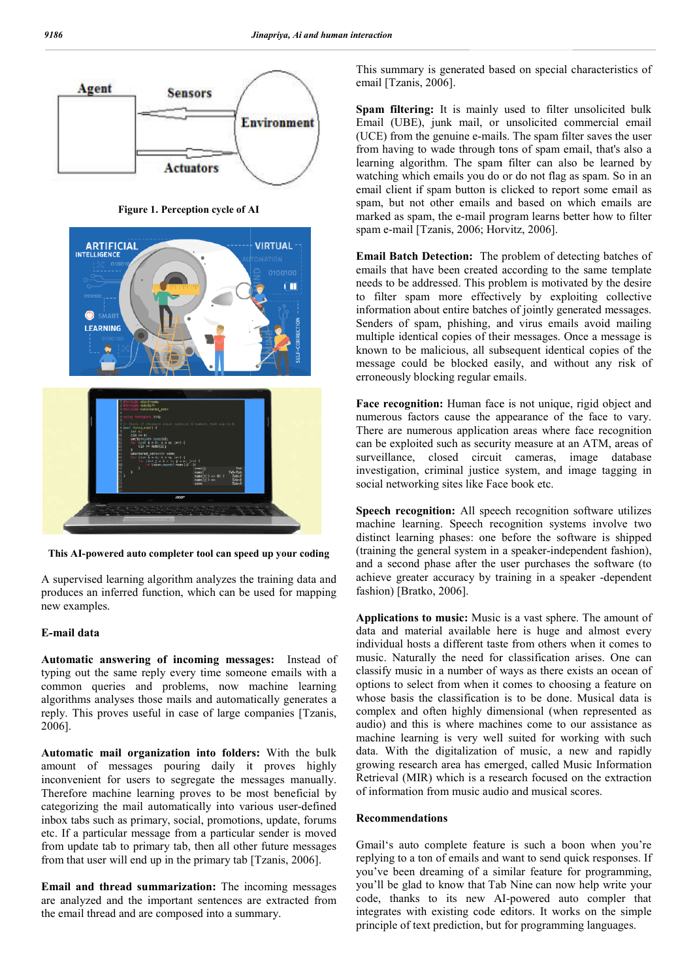

**Figure 1. Perception cycle of AI**



This AI-powered auto completer tool can speed up your coding

A supervised learning algorithm analyzes the training data and produces an inferred function, which can be used for mapping new examples.

### **E-mail data**

**Automatic answering of incoming messages:** Instead of typing out the same reply every time someone emails with a common queries and problems, now machine learning algorithms analyses those mails and automatically generates a reply. This proves useful in case of large companies [Tzanis, 2006].

**Automatic mail organization into folders:** With the bulk amount of messages pouring daily it proves highly inconvenient for users to segregate the messages manually. Therefore machine learning proves to be most beneficial by categorizing the mail automatically into various user-defined inbox tabs such as primary, social, promotions, update, forums etc. If a particular message from a particular sender is moved from update tab to primary tab, then all other future messages from that user will end up in the primary tab [Tzanis, 2006].

**Email and thread summarization:** The incoming messages are analyzed and the important sentences are extracted from the email thread and are composed into a summary.

This summary is generated based on special characteristics of email [Tzanis, 2006].

**Spam filtering:** It is mainly used to filter unsolicited bulk Email (UBE), junk mail, or unsolicited commercial email (UCE) from the genuine e-mails. The spam filter saves the user from having to wade through tons of spam email, that's als learning algorithm. The spam filter can also be learned by watching which emails you do or do not flag as spam. So in an email client if spam button is clicked to report some email as spam, but not other emails and based on which emails are marked as spam, the e-mail program learns better how to filter spam e-mail [Tzanis, 2006; Horvitz, 2006]. (UBE), junk mail, or unsolicited commercial email<br>from the genuine e-mails. The spam filter saves the user<br>aving to wade through tons of spam email, that's also a hm. The spam filter can also be learned by emails you do or do not flag as spam. So in an spam button is clicked to report some email as other emails and based on which emails are n, the e-mail program learns better how to

**Email Batch Detection:** The problem of detecting batches of emails that have been created according to the same template needs to be addressed. This problem is to filter spam more effectively by exploiting collective information about entire batches of jointly generated messages. Senders of spam, phishing, and virus emails avoid mailing information about entire batches of jointly generated messages.<br>Senders of spam, phishing, and virus emails avoid mailing<br>multiple identical copies of their messages. Once a message is known to be malicious, all subsequent identical copies of the message could be blocked easily, and without any risk of erroneously blocking regular emails. Batch Detection: The problem of detecting batches of that have been created according to the same template to be addressed. This problem is motivated by the desire

Face recognition: Human face is not unique, rigid object and numerous factors cause the appearance of the face to vary. There are numerous application areas where face recognition can be exploited such as security measure at an ATM, areas of surveillance, closed circuit cameras, image database investigation, criminal justice system, and image tagging in social networking sites like Face book etc. be malicious, all subsequent identical copies of the ould be blocked easily, and without any risk of y blocking regular emails.<br> **gnition:** Human face is not unique, rigid object and factors cause the appearance of the fac

**Speech recognition:** All speech recognition software utilizes machine learning. Speech recognition systems involve two distinct learning phases: one before the software is shipped (training the general system in a speaker and a second phase after the user purchases the software (to achieve greater accuracy by training in a speaker -dependent fashion) [Bratko, 2006]. recognition: All speech recognition software utilizes<br>learning. Speech recognition systems involve two<br>learning phases: one before the software is shipped<br>the general system in a speaker-independent fashion),

**Applications to music:** Music is a vast sphere. The amount of data and material available here is huge and almost every individual hosts a different taste from others when it comes to music. Naturally the need for classification arises. One can classify music in a number of ways as there exists an ocean of options to select from when it comes to choosing a feature on whose basis the classification is to be done. Musical data is complex and often highly dimensional (when represented as audio) and this is where machines come to our assistance as machine learning is very well suited for working with such data. With the digitalization of music, a new and rapidly growing research area has emerged, called Music Information Retrieval (MIR) which is a research focused on the extraction of information from music audio and music ations to music: Music is a vast sphere. The amount of<br>nd material available here is huge and almost every<br>ual hosts a different taste from others when it comes to<br>Naturally the need for classification arises. One can<br>r mu

### **Recommendations**

Gmail's auto complete feature is such a boon when you're Gmail's auto complete feature is such a boon when you're replying to a ton of emails and want to send quick responses. If you've been dreaming of a similar feature for programming, you'll be glad to know that Tab Nine can now help write your code, thanks to its new AI-powered auto compler that integrates with existing code editors. It works on the simple principle of text prediction, but for programming languages.